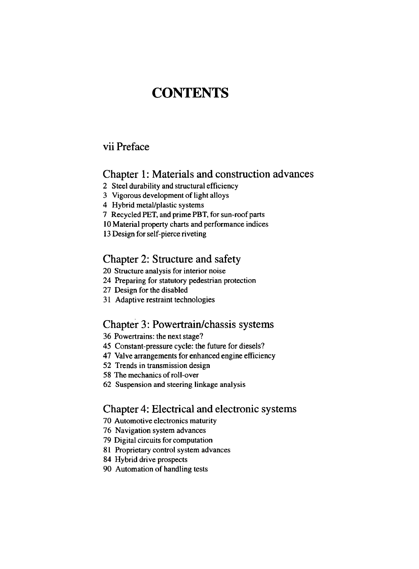# **CONTENTS**

## vii Preface

## Chapter 1: Materials and construction advances

- 2 Steel durability and structural efficiency
- 3 Vigorous development of light alloys
- 4 Hybrid metal/plastic systems
- 7 Recycled PET, and prime PBT, for sun-roof parts
- 10 Material property charts and performance indices
- 13 Design for self-pierce riveting

## Chapter 2: Structure and safety

- 20 Structure analysis for interior noise
- 24 Preparing for statutory pedestrian protection
- 27 Design for the disabled
- 31 Adaptive restraint technologies

#### Chapter 3: Powertrain/chassis systems

36 Powertrains: the next stage?

- 45 Constant-pressure cycle: the future for diesels?
- 47 Valve arrangements for enhanced engine efficiency
- 52 Trends in transmission design
- 58 The mechanics of roll-over
- 62 Suspension and steering linkage analysis

### Chapter 4: Electrical and electronic systems

- 70 Automotive electronics maturity
- 76 Navigation system advances
- 79 Digital circuits for computation
- 81 Proprietary control system advances
- 84 Hybrid drive prospects
- 90 Automation of handling tests